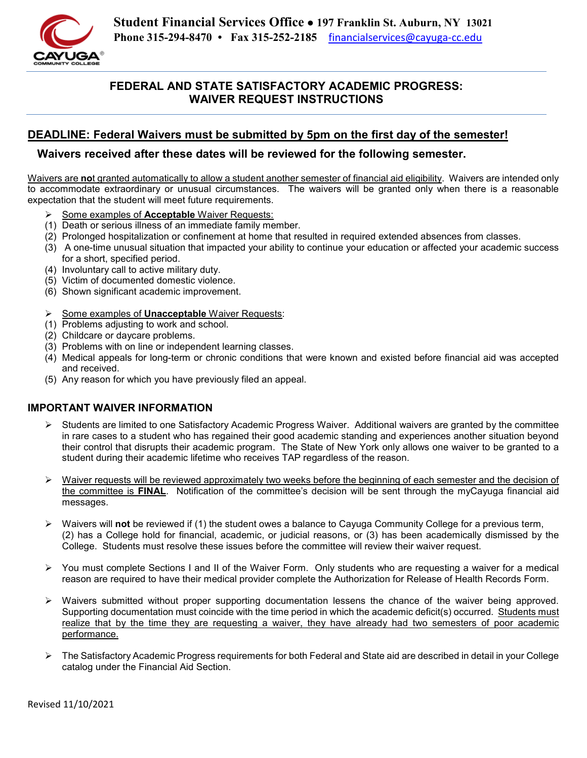

# **FEDERAL AND STATE SATISFACTORY ACADEMIC PROGRESS: WAIVER REQUEST INSTRUCTIONS**

# **DEADLINE: Federal Waivers must be submitted by 5pm on the first day of the semester!**

## **Waivers received after these dates will be reviewed for the following semester.**

Waivers are **no**t granted automatically to allow a student another semester of financial aid eligibility. Waivers are intended only to accommodate extraordinary or unusual circumstances. The waivers will be granted only when there is a reasonable expectation that the student will meet future requirements.

- Some examples of **Acceptable** Waiver Requests:
- (1) Death or serious illness of an immediate family member.
- (2) Prolonged hospitalization or confinement at home that resulted in required extended absences from classes.
- (3) A one-time unusual situation that impacted your ability to continue your education or affected your academic success for a short, specified period.
- (4) Involuntary call to active military duty.
- (5) Victim of documented domestic violence.
- (6) Shown significant academic improvement.
- Some examples of **Unacceptable** Waiver Requests:
- (1) Problems adjusting to work and school.
- (2) Childcare or daycare problems.
- (3) Problems with on line or independent learning classes.
- (4) Medical appeals for long-term or chronic conditions that were known and existed before financial aid was accepted and received.
- (5) Any reason for which you have previously filed an appeal.

#### **IMPORTANT WAIVER INFORMATION**

- $\triangleright$  Students are limited to one Satisfactory Academic Progress Waiver. Additional waivers are granted by the committee in rare cases to a student who has regained their good academic standing and experiences another situation beyond their control that disrupts their academic program. The State of New York only allows one waiver to be granted to a student during their academic lifetime who receives TAP regardless of the reason.
- $\triangleright$  Waiver requests will be reviewed approximately two weeks before the beginning of each semester and the decision of the committee is **FINAL**. Notification of the committee's decision will be sent through the myCayuga financial aid messages.
- Waivers will **not** be reviewed if (1) the student owes a balance to Cayuga Community College for a previous term, (2) has a College hold for financial, academic, or judicial reasons, or (3) has been academically dismissed by the College. Students must resolve these issues before the committee will review their waiver request.
- $\triangleright$  You must complete Sections I and II of the Waiver Form. Only students who are requesting a waiver for a medical reason are required to have their medical provider complete the Authorization for Release of Health Records Form.
- $\triangleright$  Waivers submitted without proper supporting documentation lessens the chance of the waiver being approved. Supporting documentation must coincide with the time period in which the academic deficit(s) occurred. Students must realize that by the time they are requesting a waiver, they have already had two semesters of poor academic performance.
- The Satisfactory Academic Progress requirements for both Federal and State aid are described in detail in your College catalog under the Financial Aid Section.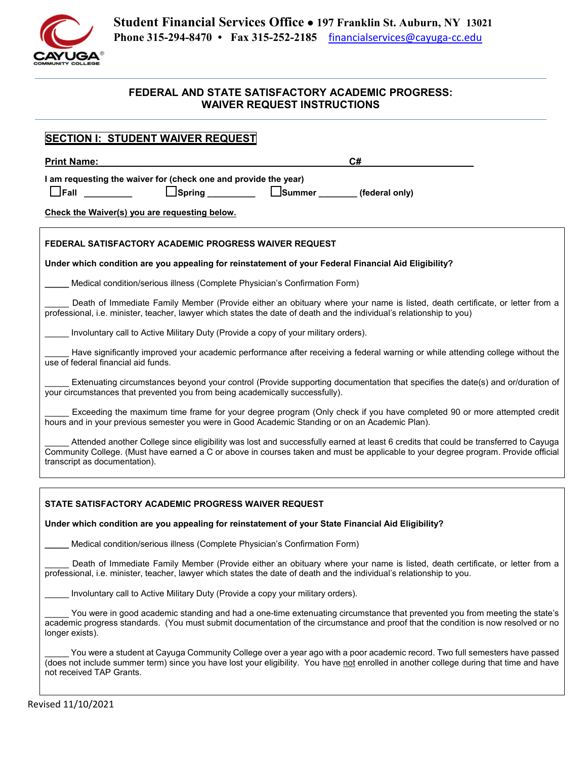

## **FEDERAL AND STATE SATISFACTORY ACADEMIC PROGRESS: WAIVER REQUEST INSTRUCTIONS**

| <b>SECTION I: STUDENT WAIVER REQUEST</b>                                                                                                                                                                                                                                                                  |  |  |
|-----------------------------------------------------------------------------------------------------------------------------------------------------------------------------------------------------------------------------------------------------------------------------------------------------------|--|--|
| C#<br><b>Print Name:</b>                                                                                                                                                                                                                                                                                  |  |  |
| I am requesting the waiver for (check one and provide the year)<br><b>__ Spring _________</b> _<br>$\Box$ Fall $\Box$<br>Summer _________ (federal only)                                                                                                                                                  |  |  |
| Check the Waiver(s) you are requesting below.                                                                                                                                                                                                                                                             |  |  |
| FEDERAL SATISFACTORY ACADEMIC PROGRESS WAIVER REQUEST                                                                                                                                                                                                                                                     |  |  |
| Under which condition are you appealing for reinstatement of your Federal Financial Aid Eligibility?                                                                                                                                                                                                      |  |  |
| Medical condition/serious illness (Complete Physician's Confirmation Form)                                                                                                                                                                                                                                |  |  |
| Death of Immediate Family Member (Provide either an obituary where your name is listed, death certificate, or letter from a<br>professional, i.e. minister, teacher, lawyer which states the date of death and the individual's relationship to you)                                                      |  |  |
| Involuntary call to Active Military Duty (Provide a copy of your military orders).                                                                                                                                                                                                                        |  |  |
| Have significantly improved your academic performance after receiving a federal warning or while attending college without the<br>use of federal financial aid funds.                                                                                                                                     |  |  |
| Extenuating circumstances beyond your control (Provide supporting documentation that specifies the date(s) and or/duration of<br>your circumstances that prevented you from being academically successfully).                                                                                             |  |  |
| Exceeding the maximum time frame for your degree program (Only check if you have completed 90 or more attempted credit<br>hours and in your previous semester you were in Good Academic Standing or on an Academic Plan).                                                                                 |  |  |
| Attended another College since eligibility was lost and successfully earned at least 6 credits that could be transferred to Cayuga<br>Community College. (Must have earned a C or above in courses taken and must be applicable to your degree program. Provide official<br>transcript as documentation). |  |  |
|                                                                                                                                                                                                                                                                                                           |  |  |
| STATE SATISFACTORY ACADEMIC PROGRESS WAIVER REQUEST                                                                                                                                                                                                                                                       |  |  |
| Under which condition are you appealing for reinstatement of your State Financial Aid Eligibility?                                                                                                                                                                                                        |  |  |
| Medical condition/serious illness (Complete Physician's Confirmation Form)                                                                                                                                                                                                                                |  |  |
| Death of Immediate Family Member (Provide either an obituary where your name is listed, death certificate, or letter from a<br>professional, i.e. minister, teacher, lawyer which states the date of death and the individual's relationship to you.                                                      |  |  |
| Involuntary call to Active Military Duty (Provide a copy your military orders).                                                                                                                                                                                                                           |  |  |
| You were in good academic standing and had a one-time extenuating circumstance that prevented you from meeting the state's<br>academic progress standards. (You must submit documentation of the circumstance and proof that the condition is now resolved or no<br>longer exists).                       |  |  |
| You were a student at Cayuga Community College over a year ago with a poor academic record. Two full semesters have passed<br>(does not include summer term) since you have lost your eligibility. You have not enrolled in another college during that time and have<br>not received TAP Grants.         |  |  |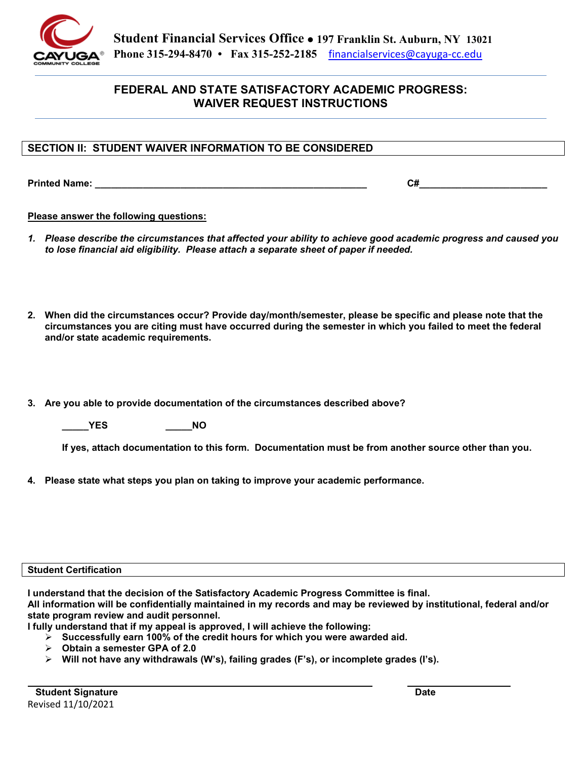

## **FEDERAL AND STATE SATISFACTORY ACADEMIC PROGRESS: WAIVER REQUEST INSTRUCTIONS**

### **SECTION II: STUDENT WAIVER INFORMATION TO BE CONSIDERED**

**Printed Name:**  $C#$ 

#### **Please answer the following questions:**

- *1. Please describe the circumstances that affected your ability to achieve good academic progress and caused you to lose financial aid eligibility. Please attach a separate sheet of paper if needed.*
- **2. When did the circumstances occur? Provide day/month/semester, please be specific and please note that the circumstances you are citing must have occurred during the semester in which you failed to meet the federal and/or state academic requirements.**
- **3. Are you able to provide documentation of the circumstances described above?**

**\_\_\_\_\_YES \_\_\_\_\_NO** 

**If yes, attach documentation to this form. Documentation must be from another source other than you.** 

**4. Please state what steps you plan on taking to improve your academic performance.** 

#### **Student Certification**

**I understand that the decision of the Satisfactory Academic Progress Committee is final.**

**All information will be confidentially maintained in my records and may be reviewed by institutional, federal and/or state program review and audit personnel.**

**I fully understand that if my appeal is approved, I will achieve the following:** 

- **Successfully earn 100% of the credit hours for which you were awarded aid.**
- **Obtain a semester GPA of 2.0**
- **Will not have any withdrawals (W's), failing grades (F's), or incomplete grades (I's).**